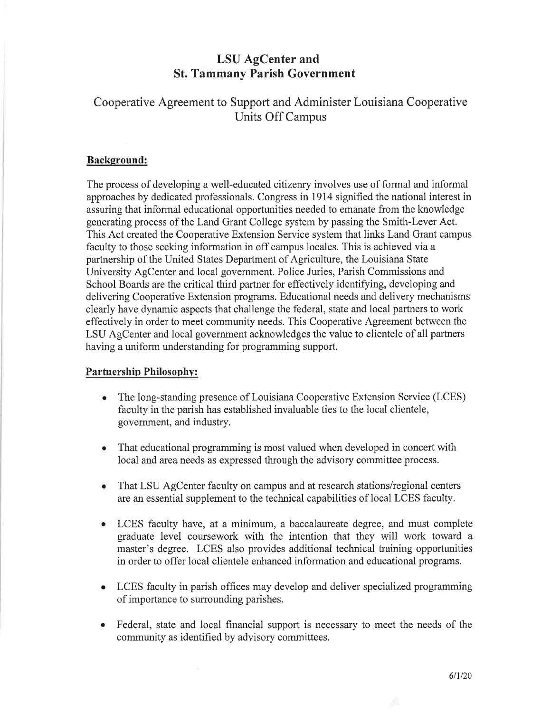# LSU AgCenter and St. Tammany Parish Government

# Cooperative Agreement to Support and Administer Louisiana Cooperative Units Off Campus

### Background:

The process of developing a well-educated citizenry involves use of formal and informal approaches by dedicated professionals. Congress in 1914 signified the national interest in assuring that informal educational opportunities needed to emanate from the knowledge generating process of the Land Grant College system by passing the Smith-Lever Act. This Act created the Cooperative Extension Service system that links Land Grant campus faculty to those seeking information in off campus locales. This is achieved via a partnership of the United States Department of Agriculture, the Louisiana State University AgCenter and local government. Police Juries, Parish Commissions and School Boards are the critical third partner for effectively identifying, developing and delivering Cooperative Extension programs. Educational needs and delivery mechanisms clearly have dynamic aspects that challenge the federal, state and local partners to work effectively in order to meet community needs. This Cooperative Agreement between the LSU AgCenter and local government acknowledges the value to clientele of all partners having a uniform understanding for programming support.

#### Partnership Philosophy:

- The long-standing presence of Louisiana Cooperative Extension Service (LCES) faculty in the parish has established invaluable ties to the local clientele, government, and industry. a
- a That educational programming is most valued when developed in concert with local and area needs as expressed through the advisory committee process.
- That LSU AgCenter faculty on campus and at research stations/regional centers arc an essential supplement to the technical capabilities of local LCES faculty.
- LCES faculty have, at a minimum, a baccalaureate degree, and must complete graduate level coursework with the intention that they will work toward <sup>a</sup> master's degree. LCES also provides additional technical training opportunities in order to offer local clientele enhanced information and educational programs.
- LCES faculty in parish offices may develop and deliver specialized programming of importance to surrounding parishes.
- $\bullet$ Federal, state and local financial support is necessary to meet the needs of the community as identified by advisory committees.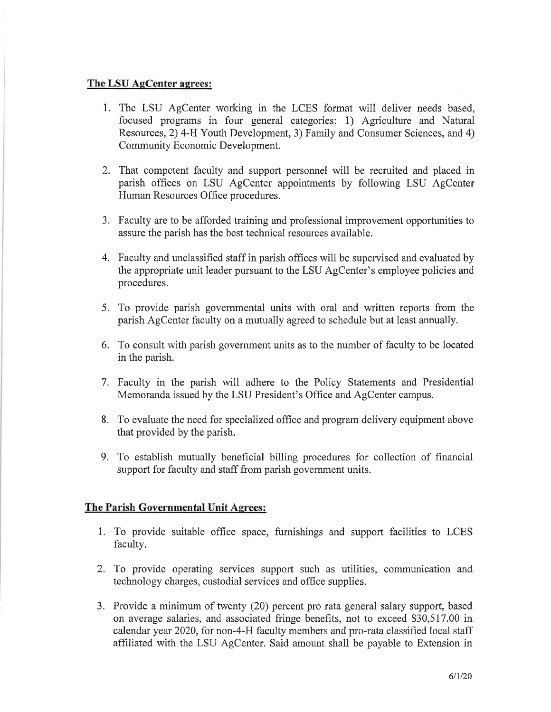### The LSU AgCenter agrees:

- 1. The LSU AgCenter working in the LCES format will deliver needs based, focused programs in four general categories: 1) Agriculture and Natural Resources, 2) 4-H Youth Development, 3) Family and Consumer Sciences, and 4) Community Economic Development.
- 2. That competent faculty and support personnel will be recruited and placed in parish offices on LSU AgCenter appointments by following LSU AgCenter Human Resources Office procedures.
- 3. Faculty are to be afforded training and professional improvement opportunities to assure the parish has the best technical resources available.
- 4. Faculty and unclassified staff in parish offices will be supervised and evaluated by the appropriate unit leader pursuant to the LSU AgCenter's employee policies and procedures.
- 5. To provide parish governmental units with oral and written reports from the parish AgCenter faculty on a mutually agreed to schedule but at least annually.
- 6. To consult with parish government units as to the number of faculty to be located in the parish.
- 7. Faculty in the parish will adhere to the Policy Statements and Presidential Memoranda issued by the LSU President's Office and AgCenter campus.
- 8. To evaluate the need for specialized office and program delivery equipment above that provided by the parish.
- 9. To establish mutually beneficial billing procedures for collection of financial support for faculty and staff from parish government units.

# The Parish Governmental Unit Agrees:

- 1. To provide suitable office space, furnishings and support facilities to LCES faculty.
- 2. To provide operating services support such as utilities, communication and technology charges, custodial services and office supplies.
- 3. Provide a minimum of twenty (20) percent pro rata general salary support, based on average salaries, and associated fringe benefits, not to exceed \$30,517.00 in calendar year 2020, for non-4-H faculty members and pro-rata classified local staff affiliated with the LSU AgCenter. Said amount shall be payable to Extension in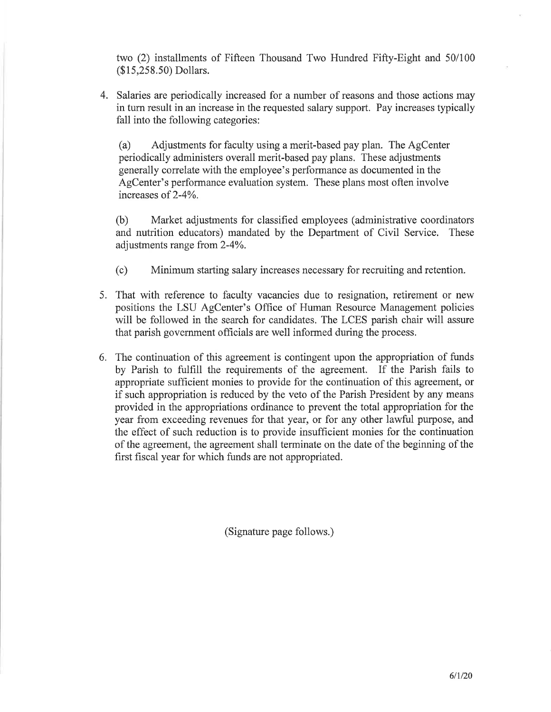two (2) installments of Fifteen Thousand Two Hundred Fifty-Eight and 50/100 (\$15,258.50) Dollars.

4. Salaries are periodically increased for a number of reasons and those actions may in turn result in an increase in the requested salary support. Pay increases typically fall into the following categories:

(a) Adjustments for faculty using a merit-based pay plan. The AgCenter periodically administers overall merit-based pay plans. These adjustments generally correlate with the employee's performance as documented in the AgCenter's performance evaluation system. These plans most often involve increases of 2-4Yo.

(b) Market adjustments for classified employees (administrative coordinators and nutrition educators) mandated by the Department of Civil Service. These adjustments range from 2-4Yo.

- (c) Minimum starting salary increases necessary for recruiting and retention.
- 5. That with reference to faculty vacancies due to resignation, retirement or new positions the LSU AgCenter's Office of Human Resource Management policies will be followed in the search for candidates. The LCES parish chair will assure that parish government officials are well informed during the process.
- 6, The continuation of this agreement is contingent upon the appropriation of funds by Parish to fulfill the requirements of the agreement. If the Parish fails to appropriate sufficient monies to provide for the continuation of this agreement, or if such appropriation is reduced by the veto of the Parish President by any means provided in the appropriations ordinance to prevent the total appropriation for the year from exceeding revenues for that year, or for any other lawful purpose, and the effect of such reduction is to provide insufficient monies for the continuation of the agreement, the agreement shall terminate on the date of the beginning of the first fiscal year for which funds are not appropriated.

(Signature page follows.)